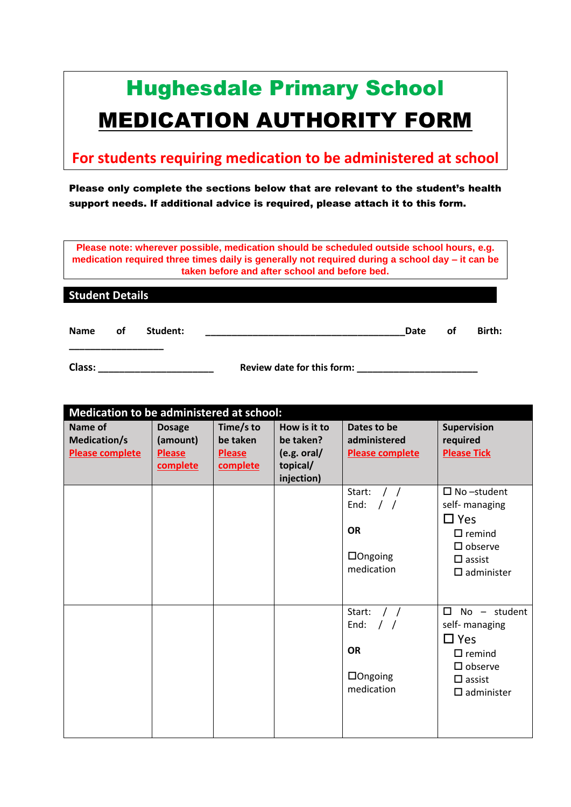# Hughesdale Primary School MEDICATION AUTHORITY FORM

# **For students requiring medication to be administered at school**

# Please only complete the sections below that are relevant to the student's health support needs. If additional advice is required, please attach it to this form.

**Please note: wherever possible, medication should be scheduled outside school hours, e.g. medication required three times daily is generally not required during a school day – it can be taken before and after school and before bed.**

| <b>Student Details</b> |    |          |      |    |        |
|------------------------|----|----------|------|----|--------|
|                        |    |          |      |    |        |
| <b>Name</b>            | οf | Student: | Date | 0f | Birth: |

**Class: \_\_\_\_\_\_\_\_\_\_\_\_\_\_\_\_\_\_\_\_\_\_ Review date for this form: \_\_\_\_\_\_\_\_\_\_\_\_\_\_\_\_\_\_\_\_\_\_\_**

**\_\_\_\_\_\_\_\_\_\_\_\_\_\_\_\_\_\_**

| Medication to be administered at school:          |                                                        |                                                    |                                                      |                                                                                               |                                                                                                                                         |  |
|---------------------------------------------------|--------------------------------------------------------|----------------------------------------------------|------------------------------------------------------|-----------------------------------------------------------------------------------------------|-----------------------------------------------------------------------------------------------------------------------------------------|--|
| Name of<br>Medication/s<br><b>Please complete</b> | <b>Dosage</b><br>(amount)<br><b>Please</b><br>complete | Time/s to<br>be taken<br><b>Please</b><br>complete | How is it to<br>be taken?<br>(e.g. oral/<br>topical/ | Dates to be<br>administered<br><b>Please complete</b>                                         | <b>Supervision</b><br>required<br><b>Please Tick</b>                                                                                    |  |
|                                                   |                                                        |                                                    | injection)                                           |                                                                                               |                                                                                                                                         |  |
|                                                   |                                                        |                                                    |                                                      | Start:<br>$\frac{1}{2}$<br>$\frac{1}{2}$<br>End:<br><b>OR</b><br>$\Box$ Ongoing<br>medication | $\square$ No -student<br>self- managing<br>$\square$ Yes<br>$\Box$ remind<br>$\square$ observe<br>$\Box$ assist<br>$\square$ administer |  |
|                                                   |                                                        |                                                    |                                                      | Start:<br>$\frac{1}{2}$<br>End:<br><b>OR</b><br>$\Box$ Ongoing<br>medication                  | $\Box$<br>No - student<br>self- managing<br>$\Box$ Yes<br>$\Box$ remind<br>$\square$ observe<br>$\Box$ assist<br>$\square$ administer   |  |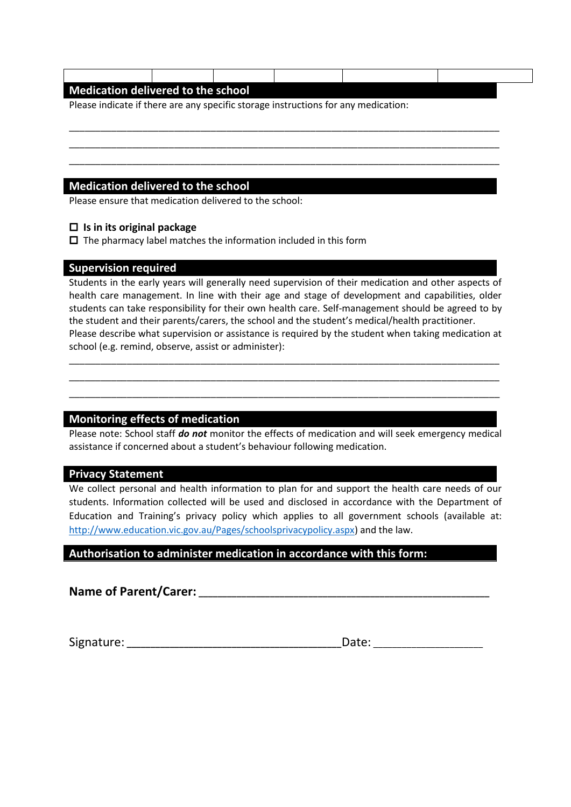| Please indicate if there are any specific storage instructions for any medication: |  |  |
|------------------------------------------------------------------------------------|--|--|
|                                                                                    |  |  |
|                                                                                    |  |  |
|                                                                                    |  |  |

#### **Is in its original package**

 $\Box$  The pharmacy label matches the information included in this form

#### **Supervision required**

Students in the early years will generally need supervision of their medication and other aspects of health care management. In line with their age and stage of development and capabilities, older students can take responsibility for their own health care. Self-management should be agreed to by the student and their parents/carers, the school and the student's medical/health practitioner. Please describe what supervision or assistance is required by the student when taking medication at school (e.g. remind, observe, assist or administer):

\_\_\_\_\_\_\_\_\_\_\_\_\_\_\_\_\_\_\_\_\_\_\_\_\_\_\_\_\_\_\_\_\_\_\_\_\_\_\_\_\_\_\_\_\_\_\_\_\_\_\_\_\_\_\_\_\_\_\_\_\_\_\_\_\_\_\_\_\_\_\_\_\_\_\_\_\_\_\_\_\_\_ \_\_\_\_\_\_\_\_\_\_\_\_\_\_\_\_\_\_\_\_\_\_\_\_\_\_\_\_\_\_\_\_\_\_\_\_\_\_\_\_\_\_\_\_\_\_\_\_\_\_\_\_\_\_\_\_\_\_\_\_\_\_\_\_\_\_\_\_\_\_\_\_\_\_\_\_\_\_\_\_\_\_ \_\_\_\_\_\_\_\_\_\_\_\_\_\_\_\_\_\_\_\_\_\_\_\_\_\_\_\_\_\_\_\_\_\_\_\_\_\_\_\_\_\_\_\_\_\_\_\_\_\_\_\_\_\_\_\_\_\_\_\_\_\_\_\_\_\_\_\_\_\_\_\_\_\_\_\_\_\_\_\_\_\_

## **Monitoring effects of medication**

Please note: School staff *do not* monitor the effects of medication and will seek emergency medical assistance if concerned about a student's behaviour following medication.

#### **Privacy Statement**

We collect personal and health information to plan for and support the health care needs of our students. Information collected will be used and disclosed in accordance with the Department of Education and Training's privacy policy which applies to all government schools (available at: [http://www.education.vic.gov.au/Pages/schoolsprivacypolicy.aspx\)](http://www.education.vic.gov.au/Pages/schoolsprivacypolicy.aspx) and the law.

## **Authorisation to administer medication in accordance with this form:**

**Name of Parent/Carer: \_\_\_\_\_\_\_\_\_\_\_\_\_\_\_\_\_\_\_\_\_\_\_\_\_\_\_\_\_\_\_\_\_\_\_\_\_\_\_\_\_\_\_\_\_\_\_\_\_\_\_\_\_\_\_\_\_\_\_\_\_**

Signature: **\_\_\_\_\_\_\_\_\_\_\_\_\_\_\_\_\_\_\_\_\_\_\_\_\_\_\_\_\_\_\_\_\_\_\_\_\_\_\_\_\_\_\_\_\_**Date: \_\_\_\_\_\_\_\_\_\_\_\_\_\_\_\_\_\_\_\_\_\_\_

| Date: |  |  |
|-------|--|--|
|       |  |  |